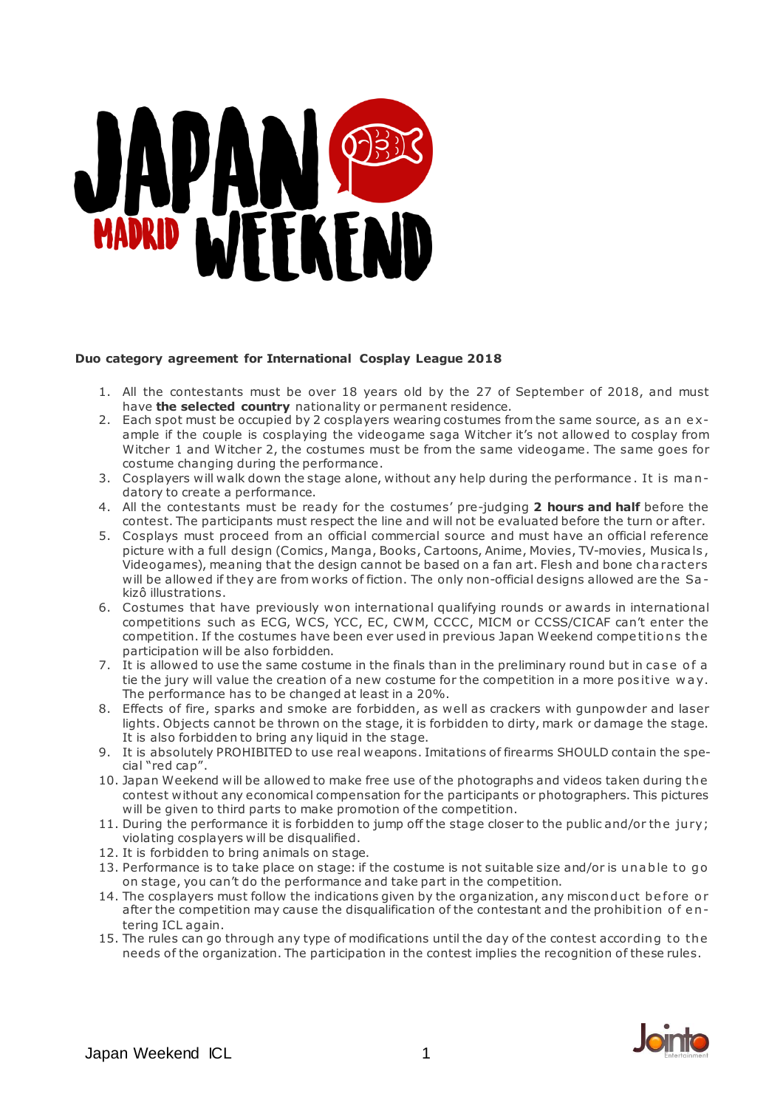# WAD MEREND

### **Duo category agreement for International Cosplay League 2018**

- 1. All the contestants must be over 18 years old by the 27 of September of 2018, and must have **the selected country** nationality or permanent residence.
- 2. Each spot must be occupied by 2 cosplayers wearing costumes from the same source, as an example if the couple is cosplaying the videogame saga Witcher it's not allowed to cosplay from Witcher 1 and Witcher 2, the costumes must be from the same videogame. The same goes for costume changing during the performance.
- 3. Cosplayers will walk down the stage alone, without any help during the performance . It is ma n datory to create a performance.
- 4. All the contestants must be ready for the costumes' pre-judging **2 hours and half** before the contest. The participants must respect the line and will not be evaluated before the turn or after.
- 5. Cosplays must proceed from an official commercial source and must have an official reference picture with a full design (Comics, Manga, Books, Cartoons, Anime, Movies, TV-movies, Musica ls , Videogames), meaning that the design cannot be based on a fan art. Flesh and bone cha racters will be allowed if they are from works of fiction. The only non-official designs allowed are the Sa kizô illustrations.
- 6. Costumes that have previously won international qualifying rounds or awards in international competitions such as ECG, WCS, YCC, EC, CWM, CCCC, MICM or CCSS/CICAF can't enter the competition. If the costumes have been ever used in previous Japan Weekend competitions the participation will be also forbidden.
- 7. It is allowed to use the same costume in the finals than in the preliminary round but in case of a tie the jury will value the creation of a new costume for the competition in a more positive way. The performance has to be changed at least in a 20%.
- 8. Effects of fire, sparks and smoke are forbidden, as well as crackers with gunpowder and laser lights. Objects cannot be thrown on the stage, it is forbidden to dirty, mark or damage the stage. It is also forbidden to bring any liquid in the stage.
- 9. It is absolutely PROHIBITED to use real weapons. Imitations of firearms SHOULD contain the special "red cap".
- 10. Japan Weekend will be allowed to make free use of the photographs and videos taken during the contest without any economical compensation for the participants or photographers. This pictures will be given to third parts to make promotion of the competition.
- 11. During the performance it is forbidden to jump off the stage closer to the public and/or the jury; violating cosplayers will be disqualified.
- 12. It is forbidden to bring animals on stage.
- 13. Performance is to take place on stage: if the costume is not suitable size and/or is unable to go on stage, you can't do the performance and take part in the competition.
- 14. The cosplayers must follow the indications given by the organization, any misconduct before or after the competition may cause the disqualification of the contestant and the prohibition of entering ICL again.
- 15. The rules can go through any type of modifications until the day of the contest according to the needs of the organization. The participation in the contest implies the recognition of these rules.

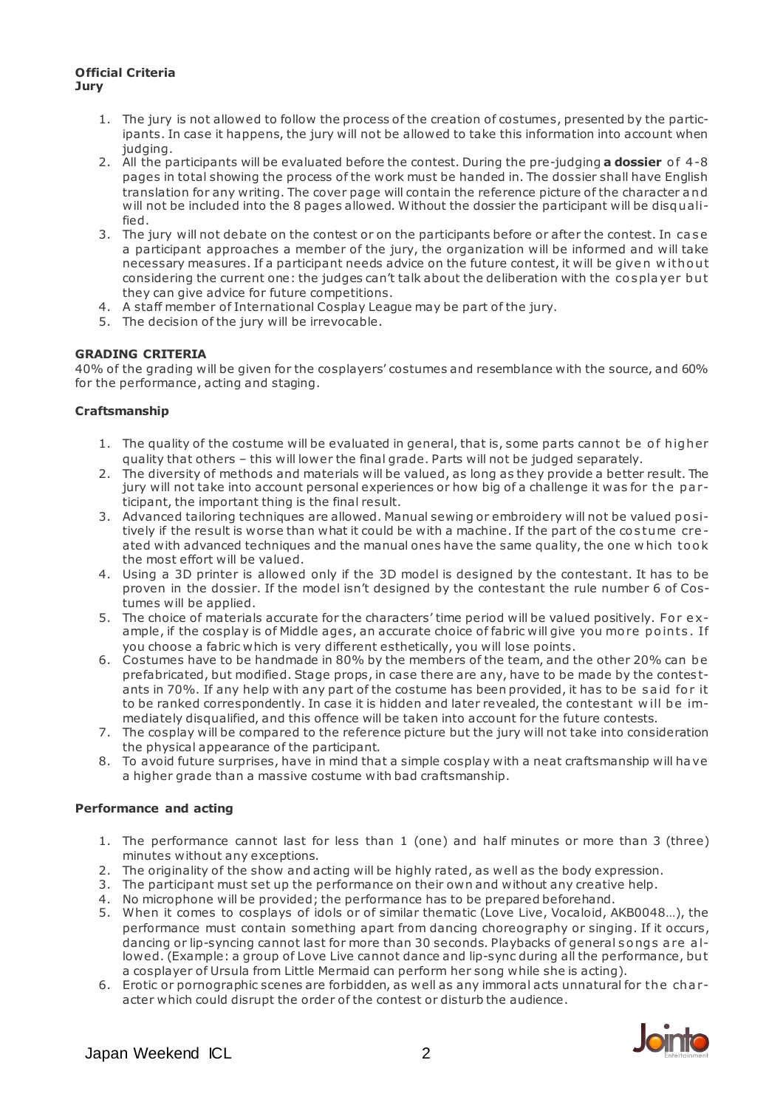### **Official Criteria Jury**

- 1. The jury is not allowed to follow the process of the creation of costumes, presented by the participants. In case it happens, the jury will not be allowed to take this information into account when judging.
- 2. All the participants will be evaluated before the contest. During the pre-judging **a dossier** o f 4-8 pages in total showing the process of the work must be handed in. The dossier shall have English translation for any writing. The cover page will contain the reference picture of the character a nd will not be included into the 8 pages allowed. Without the dossier the participant will be disqualified.
- 3. The jury will not debate on the contest or on the participants before or after the contest. In case a participant approaches a member of the jury, the organization will be informed and will take necessary measures. If a participant needs advice on the future contest, it will be given without considering the current one: the judges can't talk about the deliberation with the cosplayer but they can give advice for future competitions.
- 4. A staff member of International Cosplay League may be part of the jury.
- 5. The decision of the jury will be irrevocable.

# **GRADING CRITERIA**

40% of the grading will be given for the cosplayers' costumes and resemblance with the source, and 60% for the performance, acting and staging.

# **Craftsmanship**

- 1. The quality of the costume will be evaluated in general, that is, some parts cannot be of higher quality that others – this will lower the final grade. Parts will not be judged separately.
- 2. The diversity of methods and materials will be valued, as long as they provide a better result. The jury will not take into account personal experiences or how big of a challenge it was for the participant, the important thing is the final result.
- 3. Advanced tailoring techniques are allowed. Manual sewing or embroidery will not be valued positively if the result is worse than what it could be with a machine. If the part of the costume created with advanced techniques and the manual ones have the same quality, the one w hich took the most effort will be valued.
- 4. Using a 3D printer is allowed only if the 3D model is designed by the contestant. It has to be proven in the dossier. If the model isn't designed by the contestant the rule number 6 of Costumes will be applied.
- 5. The choice of materials accurate for the characters' time period will be valued positively. For example, if the cosplay is of Middle ages, an accurate choice of fabric will give you more points. If you choose a fabric which is very different esthetically, you will lose points.
- 6. Costumes have to be handmade in 80% by the members of the team, and the other 20% can be prefabricated, but modified. Stage props, in case there are any, have to be made by the contes tants in 70%. If any help with any part of the costume has been provided, it has to be said for it to be ranked correspondently. In case it is hidden and later revealed, the contestant will be immediately disqualified, and this offence will be taken into account for the future contests.
- 7. The cosplay will be compared to the reference picture but the jury will not take into consideration the physical appearance of the participant.
- 8. To avoid future surprises, have in mind that a simple cosplay with a neat craftsmanship will ha ve a higher grade than a massive costume with bad craftsmanship.

# **Performance and acting**

- 1. The performance cannot last for less than 1 (one) and half minutes or more than 3 (three) minutes without any exceptions.
- 2. The originality of the show and acting will be highly rated, as well as the body expression.
- 3. The participant must set up the performance on their own and without any creative help.
- 4. No microphone will be provided; the performance has to be prepared beforehand.
- 5. When it comes to cosplays of idols or of similar thematic (Love Live, Vocaloid, AKB0048…), the performance must contain something apart from dancing choreography or singing. If it occurs, dancing or lip-syncing cannot last for more than 30 seconds. Playbacks of general songs are allowed. (Example: a group of Love Live cannot dance and lip-sync during all the performance, bu t a cosplayer of Ursula from Little Mermaid can perform her song while she is acting).
- 6. Erotic or pornographic scenes are forbidden, as well as any immoral acts unnatural for the cha racter which could disrupt the order of the contest or disturb the audience.